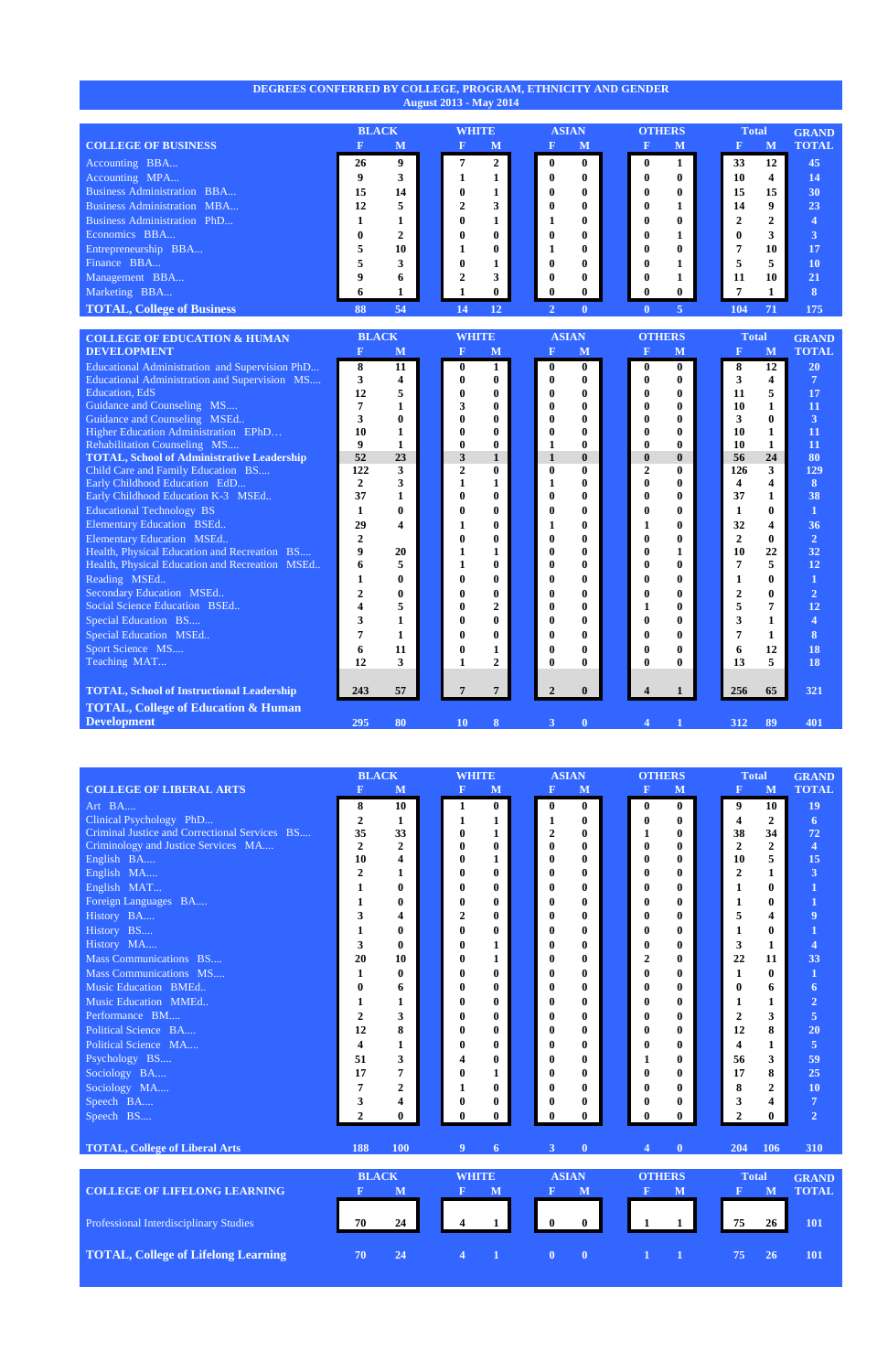## **DEGREES CONFERRED BY COLLEGE, PROGRAM, ETHNICITY AND GENDER August 2013 - May 2014**

|                                    | <b>BLACK</b> |    | <b>WHITE</b> |              | <b>ASIAN</b> |              | <b>OTHERS</b> |             |              | <b>Total</b> |                | <b>GRAND</b>    |
|------------------------------------|--------------|----|--------------|--------------|--------------|--------------|---------------|-------------|--------------|--------------|----------------|-----------------|
| <b>COLLEGE OF BUSINESS</b>         |              | M  |              | M            | $\bf F$      | $\mathbf{M}$ |               |             | $\mathbf{M}$ |              | M              | <b>TOTAL</b>    |
| Accounting BBA                     | 26           | 9  |              | $\mathbf 2$  | $\mathbf{0}$ | $\mathbf{0}$ |               | $\mathbf 0$ |              | 33           | 12             | 45              |
| Accounting MPA                     | 9            |    |              |              | $\mathbf{0}$ | 0            |               |             |              | 10           | 4              | 14              |
| <b>Business Administration BBA</b> | 15           | 14 | $\bf{0}$     |              | $\mathbf{0}$ | $\bf{0}$     |               |             | $\bf{0}$     | 15           | 15             | 30 <sub>1</sub> |
| <b>Business Administration MBA</b> | 12           |    | ↑            |              | $\mathbf{0}$ | 0            |               |             |              | 14           | 9              | 23              |
| <b>Business Administration PhD</b> |              |    | $\bf{0}$     |              |              | 0            |               | $\mathbf 0$ | 0            | 2            | $\overline{2}$ |                 |
| Economics BBA                      | 0            |    | 0            | $\mathbf{0}$ | $\mathbf{0}$ | 0            |               |             |              | 0            | 3              |                 |
| Entrepreneurship BBA               |              | 10 |              | $\mathbf{0}$ |              | 0            |               |             | $\mathbf{0}$ |              | 10             | 17              |
| Finance BBA                        |              |    | 0            |              | $\mathbf{0}$ | 0            |               |             |              | 5            | 5              | <b>10</b>       |
| Management BBA                     | 9            | n. | ↑            |              | $\mathbf{0}$ | $\mathbf{0}$ |               | $\mathbf 0$ |              | 11           | 10             | 21              |
| Marketing BBA                      |              |    |              | $\mathbf{0}$ | $\mathbf{0}$ | $\mathbf{0}$ |               |             | $\mathbf 0$  |              |                | 8               |
| <b>TOTAL, College of Business</b>  | 88           | 54 | 14           | 12           |              | $\mathbf{0}$ |               |             | 5            | 104          | 71             | 175             |

| <b>COLLEGE OF EDUCATION &amp; HUMAN</b>           | <b>BLACK</b>     |                         | <b>WHITE</b>   |                | <b>ASIAN</b>     |                  | <b>OTHERS</b>    |              | <b>Total</b>   |              | <b>GRAND</b>            |
|---------------------------------------------------|------------------|-------------------------|----------------|----------------|------------------|------------------|------------------|--------------|----------------|--------------|-------------------------|
| <b>DEVELOPMENT</b>                                |                  | M                       | $\mathbf F$    | M              | R                | M                | $\mathbf F$      | $\mathbf{M}$ |                | M            | <b>TOTAL</b>            |
| Educational Administration and Supervision PhD    | 8                | 11                      | $\bf{0}$       | 1              | $\boldsymbol{0}$ | $\mathbf{0}$     | $\bf{0}$         | $\mathbf{0}$ | 8              | 12           | 20                      |
| Educational Administration and Supervision MS     | 3                | $\overline{\mathbf{4}}$ | 0              | $\mathbf{0}$   | $\bf{0}$         | $\mathbf{0}$     | $\mathbf{0}$     | $\mathbf{0}$ | 3              | 4            | $\overline{7}$          |
| <b>Education</b> , EdS                            | 12               |                         |                | $\bf{0}$       |                  | $\bf{0}$         | $\bf{0}$         | $\mathbf{0}$ | 11             | 5            | 17                      |
| Guidance and Counseling MS                        |                  |                         | 3              | $\bf{0}$       |                  | $\bf{0}$         | 0                | $\mathbf 0$  | 10             |              | 11                      |
| Guidance and Counseling MSEd                      |                  |                         |                | $\bf{0}$       |                  | $\bf{0}$         | 0                | 0            | 3              | $\bf{0}$     | $\overline{\mathbf{3}}$ |
| Higher Education Administration EPhD              | 10               |                         | 0              | $\bf{0}$       |                  | $\mathbf{0}$     | $\bf{0}$         | $\mathbf{0}$ | 10             | 1            | 11                      |
| Rehabilitation Counseling MS                      | 9                |                         | 0              | $\bf{0}$       | 1                | $\bf{0}$         | 0                | $\mathbf{0}$ | <b>10</b>      | 1            | 11                      |
| <b>TOTAL, School of Administrative Leadership</b> | 52               | 23                      | 3              | 1              | $\mathbf{1}$     | $\mathbf{0}$     | $\mathbf{0}$     | $\mathbf{0}$ | 56             | 24           | 80                      |
| Child Care and Family Education BS                | 122              | 3                       | $\overline{2}$ | $\bf{0}$       | $\boldsymbol{0}$ | $\boldsymbol{0}$ | $\overline{2}$   | $\mathbf{0}$ | 126            | 3            | <b>129</b>              |
| Early Childhood Education EdD                     | $\boldsymbol{2}$ | 3                       |                |                | 1                | $\bf{0}$         | $\mathbf{0}$     | 0            |                | 4            | 8                       |
| Early Childhood Education K-3 MSEd                | 37               |                         | $\mathbf{0}$   | $\mathbf{0}$   | $\bf{0}$         | $\bf{0}$         | $\mathbf{0}$     | $\mathbf{0}$ | 37             | 1            | 38                      |
| <b>Educational Technology BS</b>                  |                  | $\mathbf{0}$            | 0              | $\bf{0}$       | 0                | $\mathbf{0}$     | 0                | $\mathbf{0}$ | 1              | $\bf{0}$     | $\mathbf{1}$            |
| <b>Elementary Education BSEd</b>                  | 29               |                         |                | 0              | 1                | $\bf{0}$         |                  | $\mathbf{0}$ | 32             | 4            | 36                      |
| <b>Elementary Education MSEd</b>                  | 2                |                         | 0              | 0              | 0                | $\bf{0}$         | $\bf{0}$         | 0            | $\overline{2}$ | $\mathbf{0}$ | $\overline{2}$          |
| Health, Physical Education and Recreation BS      | 9                | 20                      |                | 1              | 0                | $\bf{0}$         | $\mathbf{0}$     |              | 10             | 22           | 32                      |
| Health, Physical Education and Recreation MSEd    | 6                | 5                       |                | $\bf{0}$       | 0                | $\bf{0}$         | $\mathbf{0}$     | $\mathbf{0}$ |                | 5            | 12                      |
| Reading MSEd                                      |                  | $\bf{0}$                | 0              | $\bf{0}$       | 0                | $\bf{0}$         | $\bf{0}$         | $\mathbf{0}$ |                | $\mathbf{0}$ |                         |
| Secondary Education MSEd                          |                  | $\bf{0}$                | 0              | $\mathbf{0}$   | 0                | $\mathbf{0}$     | 0                | $\mathbf{0}$ |                | $\bf{0}$     | 2                       |
| Social Science Education BSEd                     |                  |                         | 0              | $\overline{2}$ | $\bf{0}$         | $\mathbf{0}$     |                  | $\mathbf{0}$ | 5              | 7            | 12                      |
| Special Education BS                              |                  |                         | 0              | 0              | 0                | $\bf{0}$         | 0                | 0            | 3              |              | 4                       |
| Special Education MSEd                            |                  |                         | $\mathbf{0}$   | $\mathbf{0}$   | 0                | $\mathbf{0}$     | $\bf{0}$         | $\mathbf{0}$ |                | 1            | 8                       |
| Sport Science MS                                  | 6                | 11                      | 0              |                | $\bf{0}$         | $\bf{0}$         | $\mathbf{0}$     | $\mathbf{0}$ | 6              | 12           | 18                      |
| Teaching MAT                                      | 12               | 3                       |                | $\overline{2}$ | $\bf{0}$         | $\mathbf{0}$     | 0                | 0            | 13             | 5            | 18                      |
|                                                   |                  |                         |                |                |                  |                  |                  |              |                |              |                         |
| <b>TOTAL, School of Instructional Leadership</b>  | 243              | 57                      |                | 7              | 2                | $\mathbf{0}$     |                  |              | 256            | 65           | 321                     |
| <b>TOTAL, College of Education &amp; Human</b>    |                  |                         |                |                |                  |                  |                  |              |                |              |                         |
| <b>Development</b>                                | 295              | 80                      | <b>10</b>      | 8              | 3                | $\mathbf{0}$     | $\boldsymbol{4}$ |              | 312            | 89           | 401                     |

|                                               |                         | <b>BLACK</b>            |  | <b>WHITE</b>   |                  |                  | <b>ASIAN</b> | <b>OTHERS</b> |                  |                  | <b>Total</b>            |                         | <b>GRAND</b>            |
|-----------------------------------------------|-------------------------|-------------------------|--|----------------|------------------|------------------|--------------|---------------|------------------|------------------|-------------------------|-------------------------|-------------------------|
| <b>COLLEGE OF LIBERAL ARTS</b>                | $\mathbf{F}$            | M                       |  | $\mathbf{F}$   | M                | $\mathbf{F}$     | M            |               | $\mathbf F$      | M                | $\mathbf{F}$            | M                       | <b>TOTAL</b>            |
| Art BA                                        | 8                       | 10                      |  | $\mathbf{1}$   | $\bf{0}$         | $\boldsymbol{0}$ | $\bf{0}$     |               | $\boldsymbol{0}$ | $\bf{0}$         | 9                       | 10                      | 19                      |
| Clinical Psychology PhD                       | $\overline{2}$          | 1                       |  | 1              | 1                | 1                | $\mathbf{0}$ |               | $\mathbf{0}$     | $\bf{0}$         | $\overline{\mathbf{4}}$ | $\overline{2}$          | 6                       |
| Criminal Justice and Correctional Services BS | 35                      | 33                      |  | $\mathbf{0}$   | 1                | $\boldsymbol{2}$ | $\mathbf{0}$ |               | 1                | $\boldsymbol{0}$ | 38                      | 34                      | 72                      |
| Criminology and Justice Services MA           | $\overline{2}$          | $\overline{2}$          |  | 0              | $\bf{0}$         | $\bf{0}$         | $\bf{0}$     |               | $\bf{0}$         | $\bf{0}$         | $\overline{2}$          | $\overline{2}$          | $\overline{\mathbf{4}}$ |
| English BA                                    | 10                      | 4                       |  | 0              | 1                | $\bf{0}$         | $\mathbf{0}$ |               | $\bf{0}$         | $\bf{0}$         | 10                      | 5                       | 15                      |
| English MA                                    | $\overline{2}$          | 1                       |  | $\mathbf{0}$   | $\mathbf 0$      | $\bf{0}$         | $\mathbf{0}$ |               | $\mathbf{0}$     | $\bf{0}$         | $\overline{2}$          | $\mathbf{1}$            | $\overline{\mathbf{3}}$ |
| English MAT                                   | 1                       | $\mathbf{0}$            |  | 0              | $\bf{0}$         | $\bf{0}$         | $\bf{0}$     |               | $\bf{0}$         | $\bf{0}$         | 1                       | $\bf{0}$                | 1                       |
| Foreign Languages BA                          | 1                       | $\bf{0}$                |  | 0              | $\bf{0}$         | 0                | $\bf{0}$     |               | $\bf{0}$         | $\bf{0}$         | 1                       | $\boldsymbol{0}$        |                         |
| History BA                                    | 3                       | $\overline{\mathbf{4}}$ |  | 2              | $\bf{0}$         | $\bf{0}$         | $\bf{0}$     |               | $\mathbf{0}$     | $\bf{0}$         | 5                       | 4                       | 9                       |
| History BS                                    | 1                       | $\bf{0}$                |  | 0              | $\bf{0}$         | $\bf{0}$         | $\bf{0}$     |               | $\bf{0}$         | $\bf{0}$         | $\mathbf{1}$            | $\bf{0}$                | 1                       |
| History MA                                    | 3                       | $\mathbf{0}$            |  | 0              | 1                | $\boldsymbol{0}$ | $\bf{0}$     |               | $\bf{0}$         | $\bf{0}$         | $\mathbf{3}$            | 1                       | $\overline{\mathbf{4}}$ |
| Mass Communications BS                        | 20                      | 10                      |  | $\mathbf{0}$   | 1                | $\bf{0}$         | $\mathbf{0}$ |               | $\boldsymbol{2}$ | $\bf{0}$         | 22                      | 11                      | 33                      |
| Mass Communications MS                        | $\mathbf{1}$            | $\mathbf{0}$            |  | $\mathbf{0}$   | $\bf{0}$         | $\bf{0}$         | $\mathbf{0}$ |               | $\bf{0}$         | $\bf{0}$         | 1                       | $\bf{0}$                | $\mathbf{1}$            |
| Music Education BMEd                          | 0                       | 6                       |  | 0              | $\bf{0}$         | $\bf{0}$         | $\bf{0}$     |               | $\bf{0}$         | $\bf{0}$         | $\bf{0}$                | 6                       | 6                       |
| Music Education MMEd                          | 1                       | 1                       |  | 0              | $\bf{0}$         | $\bf{0}$         | $\mathbf{0}$ |               | $\bf{0}$         | $\bf{0}$         | 1                       | 1                       | $\overline{2}$          |
| Performance BM                                | $\boldsymbol{2}$        | 3                       |  | 0              | $\bf{0}$         | $\bf{0}$         | $\mathbf{0}$ |               | $\bf{0}$         | 0                | $\overline{2}$          | 3                       | $\overline{5}$          |
| Political Science BA                          | 12                      | 8                       |  | 0              | $\bf{0}$         | 0                | $\bf{0}$     |               | $\bf{0}$         | $\bf{0}$         | 12                      | 8                       | 20                      |
| Political Science MA                          | $\overline{\mathbf{4}}$ | 1                       |  | 0              | $\mathbf 0$      | 0                | $\bf{0}$     |               | $\bf{0}$         | $\bf{0}$         | $\overline{\mathbf{4}}$ | 1                       | $\overline{5}$          |
| Psychology BS                                 | 51                      | 3                       |  | 4              | $\boldsymbol{0}$ | 0                | $\mathbf{0}$ |               | 1                | $\bf{0}$         | 56                      | $\overline{\mathbf{3}}$ | 59                      |
| Sociology BA                                  | 17                      | 7                       |  | $\mathbf{0}$   | 1                | $\bf{0}$         | $\mathbf{0}$ |               | $\mathbf{0}$     | 0                | 17                      | 8                       | 25                      |
| Sociology MA                                  | 7                       | $\mathbf{2}$            |  | 1              | $\mathbf 0$      | $\mathbf{0}$     | $\mathbf{0}$ |               | $\mathbf{0}$     | $\bf{0}$         | 8                       | $\mathbf{2}$            | 10                      |
| Speech BA                                     | 3                       | 4                       |  | $\bf{0}$       | $\bf{0}$         | $\bf{0}$         | $\bf{0}$     |               | $\bf{0}$         | $\bf{0}$         | 3                       | 4                       | $\overline{7}$          |
| Speech BS                                     | $\overline{2}$          | $\bf{0}$                |  | 0              | $\mathbf{0}$     | $\bf{0}$         | $\bf{0}$     |               | $\mathbf{0}$     | $\mathbf{0}$     | $\overline{2}$          | $\bf{0}$                | $\overline{2}$          |
|                                               |                         |                         |  |                |                  |                  |              |               |                  |                  |                         |                         |                         |
| <b>TOTAL, College of Liberal Arts</b>         | 188                     | 100                     |  | 9              | 6                | 3 <sup>1</sup>   | $\bf{0}$     |               | $\overline{4}$   | $\bf{0}$         | 204                     | 106                     | 310                     |
|                                               |                         |                         |  |                |                  |                  |              |               |                  |                  |                         |                         |                         |
|                                               | <b>BLACK</b>            |                         |  | <b>WHITE</b>   |                  |                  | <b>ASIAN</b> |               | <b>OTHERS</b>    |                  | <b>Total</b>            |                         | <b>GRAND</b>            |
| <b>COLLEGE OF LIFELONG LEARNING</b>           | $\mathbf F$             | M                       |  | $\mathbf F$    | M                | $\mathbf F$      | M            |               | $\mathbf{F}$     | M                | $\mathbf{F}$            | M                       | <b>TOTAL</b>            |
|                                               |                         |                         |  |                |                  |                  |              |               |                  |                  |                         |                         |                         |
| Professional Interdisciplinary Studies        | 70                      | 24                      |  | 4              | $\mathbf 1$      | $\mathbf{0}$     | $\mathbf{0}$ |               |                  |                  | 75                      | 26                      | 101                     |
|                                               |                         |                         |  |                |                  |                  |              |               |                  |                  |                         |                         |                         |
| <b>TOTAL, College of Lifelong Learning</b>    | 70                      | 24                      |  | $\overline{4}$ | 1                | $\mathbf{0}$     | $\bf{0}$     |               | $\mathbf{1}$     |                  | 75                      | 26                      | 101                     |
|                                               |                         |                         |  |                |                  |                  |              |               |                  |                  |                         |                         |                         |